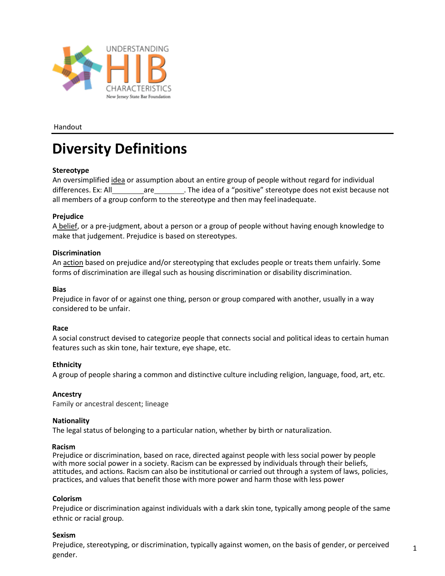

Handout

## **Diversity Definitions**

## **Stereotype**

An oversimplified idea or assumption about an entire group of people without regard for individual differences. Ex: All are . The idea of a "positive" stereotype does not exist because not all members of a group conform to the stereotype and then may feel inadequate.

## **Prejudice**

A belief, or a pre-judgment, about a person or a group of people without having enough knowledge to make that judgement. Prejudice is based on stereotypes.

## **Discrimination**

An action based on prejudice and/or stereotyping that excludes people or treats them unfairly. Some forms of discrimination are illegal such as housing discrimination or disability discrimination.

## **Bias**

Prejudice in favor of or against one thing, person or group compared with another, usually in a way considered to be unfair.

#### **Race**

A social construct devised to categorize people that connects social and political ideas to certain human features such as skin tone, hair texture, eye shape, etc.

## **Ethnicity**

A group of people sharing a common and distinctive culture including religion, language, food, art, etc.

## **Ancestry**

Family or ancestral descent; lineage

## **Nationality**

The legal status of belonging to a particular nation, whether by birth or naturalization.

#### **Racism**

Prejudice or discrimination, based on race, directed against people with less social power by people with more social power in a society. Racism can be expressed by individuals through their beliefs, attitudes, and actions. Racism can also be institutional or carried out through a system of laws, policies, practices, and values that benefit those with more power and harm those with less power

#### **Colorism**

Prejudice or discrimination against individuals with a dark skin tone, typically among people of the same ethnic or racial group.

#### **Sexism**

Prejudice, stereotyping, or discrimination, typically against women, on the basis of gender, or perceived gender.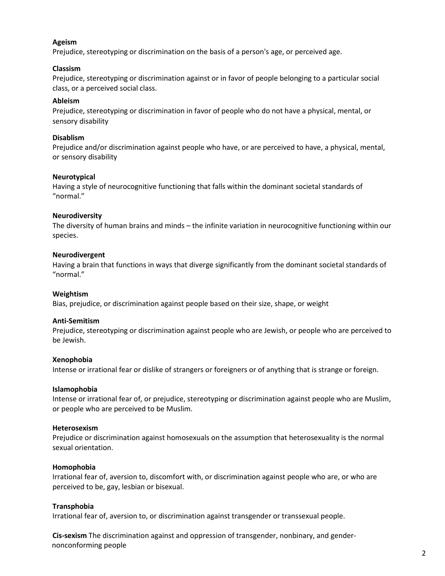## **Ageism**

Prejudice, stereotyping or discrimination on the basis of a person's age, or perceived age.

## **Classism**

Prejudice, stereotyping or discrimination against or in favor of people belonging to a particular social class, or a perceived social class.

## **Ableism**

Prejudice, stereotyping or discrimination in favor of people who do not have a physical, mental, or sensory disability

## **Disablism**

Prejudice and/or discrimination against people who have, or are perceived to have, a physical, mental, or sensory disability

## **Neurotypical**

Having a style of neurocognitive functioning that falls within the dominant societal standards of "normal."

## **Neurodiversity**

The diversity of human brains and minds – the infinite variation in neurocognitive functioning within our species.

## **Neurodivergent**

Having a brain that functions in ways that diverge significantly from the dominant societal standards of "normal."

## **Weightism**

Bias, prejudice, or discrimination against people based on their size, shape, or weight

#### **Anti-Semitism**

Prejudice, stereotyping or discrimination against people who are Jewish, or people who are perceived to be Jewish.

#### **Xenophobia**

Intense or irrational fear or dislike of strangers or foreigners or of anything that is strange or foreign.

#### **Islamophobia**

Intense or irrational fear of, or prejudice, stereotyping or discrimination against people who are Muslim, or people who are perceived to be Muslim.

#### **Heterosexism**

Prejudice or discrimination against homosexuals on the assumption that heterosexuality is the normal sexual orientation.

## **Homophobia**

Irrational fear of, aversion to, discomfort with, or discrimination against people who are, or who are perceived to be, gay, lesbian or bisexual.

## **Transphobia**

Irrational fear of, aversion to, or discrimination against transgender or transsexual people.

**Cis-sexism** The discrimination against and oppression of transgender, nonbinary, and gendernonconforming people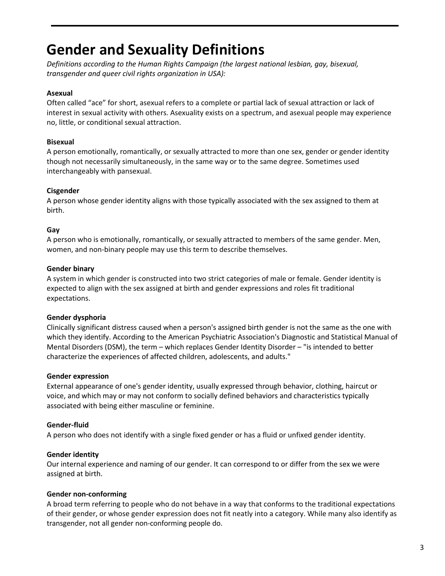## **Gender and Sexuality Definitions**

*Definitions according to the Human Rights Campaign (the largest national lesbian, gay, bisexual, transgender and queer civil rights organization in USA):*

## **Asexual**

Often called "ace" for short, asexual refers to a complete or partial lack of sexual attraction or lack of interest in sexual activity with others. Asexuality exists on a spectrum, and asexual people may experience no, little, or conditional sexual attraction.

## **Bisexual**

A person emotionally, romantically, or sexually attracted to more than one sex, gender or gender identity though not necessarily simultaneously, in the same way or to the same degree. Sometimes used interchangeably with pansexual.

## **Cisgender**

A person whose gender identity aligns with those typically associated with the sex assigned to them at birth.

## **Gay**

A person who is emotionally, romantically, or sexually attracted to members of the same gender. Men, women, and non-binary people may use this term to describe themselves.

## **Gender binary**

A system in which gender is constructed into two strict categories of male or female. Gender identity is expected to align with the sex assigned at birth and gender expressions and roles fit traditional expectations.

## **Gender dysphoria**

Clinically significant distress caused when a person's assigned birth gender is not the same as the one with which they identify. According to the American Psychiatric Association's Diagnostic and Statistical Manual of Mental Disorders (DSM), the term – which replaces Gender Identity Disorder – "is intended to better characterize the experiences of affected children, adolescents, and adults."

## **Gender expression**

External appearance of one's gender identity, usually expressed through behavior, clothing, haircut or voice, and which may or may not conform to socially defined behaviors and characteristics typically associated with being either masculine or feminine.

## **Gender-fluid**

A person who does not identify with a single fixed gender or has a fluid or unfixed gender identity.

## **Gender identity**

Our internal experience and naming of our gender. It can correspond to or differ from the sex we were assigned at birth.

## **Gender non-conforming**

A broad term referring to people who do not behave in a way that conforms to the traditional expectations of their gender, or whose gender expression does not fit neatly into a category. While many also identify as transgender, not all gender non-conforming people do.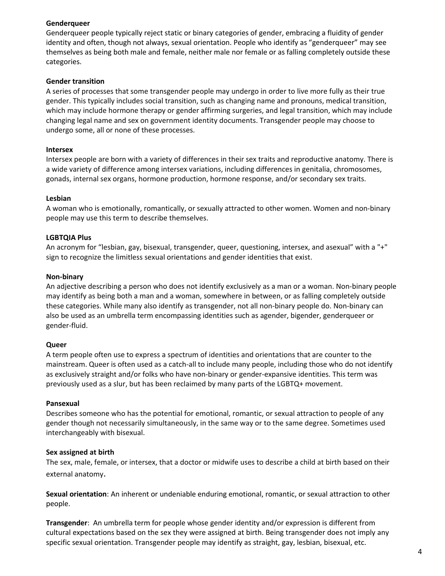## **Genderqueer**

Genderqueer people typically reject static or binary categories of gender, embracing a fluidity of gender identity and often, though not always, sexual orientation. People who identify as "genderqueer" may see themselves as being both male and female, neither male nor female or as falling completely outside these categories.

## **Gender transition**

A series of processes that some transgender people may undergo in order to live more fully as their true gender. This typically includes social transition, such as changing name and pronouns, medical transition, which may include hormone therapy or gender affirming surgeries, and legal transition, which may include changing legal name and sex on government identity documents. Transgender people may choose to undergo some, all or none of these processes.

## **Intersex**

Intersex people are born with a variety of differences in their sex traits and reproductive anatomy. There is a wide variety of difference among intersex variations, including differences in genitalia, chromosomes, gonads, internal sex organs, hormone production, hormone response, and/or secondary sex traits.

## **Lesbian**

A woman who is emotionally, romantically, or sexually attracted to other women. Women and non-binary people may use this term to describe themselves.

## **LGBTQIA Plus**

An acronym for "lesbian, gay, bisexual, transgender, queer, questioning, intersex, and asexual" with a "+" sign to recognize the limitless sexual orientations and gender identities that exist.

#### **Non-binary**

An adjective describing a person who does not identify exclusively as a man or a woman. Non-binary people may identify as being both a man and a woman, somewhere in between, or as falling completely outside these categories. While many also identify as transgender, not all non-binary people do. Non-binary can also be used as an umbrella term encompassing identities such as agender, bigender, genderqueer or gender-fluid.

#### **Queer**

A term people often use to express a spectrum of identities and orientations that are counter to the mainstream. Queer is often used as a catch-all to include many people, including those who do not identify as exclusively straight and/or folks who have non-binary or gender-expansive identities. This term was previously used as a slur, but has been reclaimed by many parts of the LGBTQ+ movement.

#### **Pansexual**

Describes someone who has the potential for emotional, romantic, or sexual attraction to people of any gender though not necessarily simultaneously, in the same way or to the same degree. Sometimes used interchangeably with bisexual.

#### **Sex assigned at birth**

The sex, male, female, or intersex, that a doctor or midwife uses to describe a child at birth based on their external anatomy.

**Sexual orientation**: An inherent or undeniable enduring emotional, romantic, or sexual attraction to other people.

**Transgender**: An umbrella term for people whose gender identity and/or expression is different from cultural expectations based on the sex they were assigned at birth. Being transgender does not imply any specific sexual orientation. Transgender people may identify as straight, gay, lesbian, bisexual, etc.